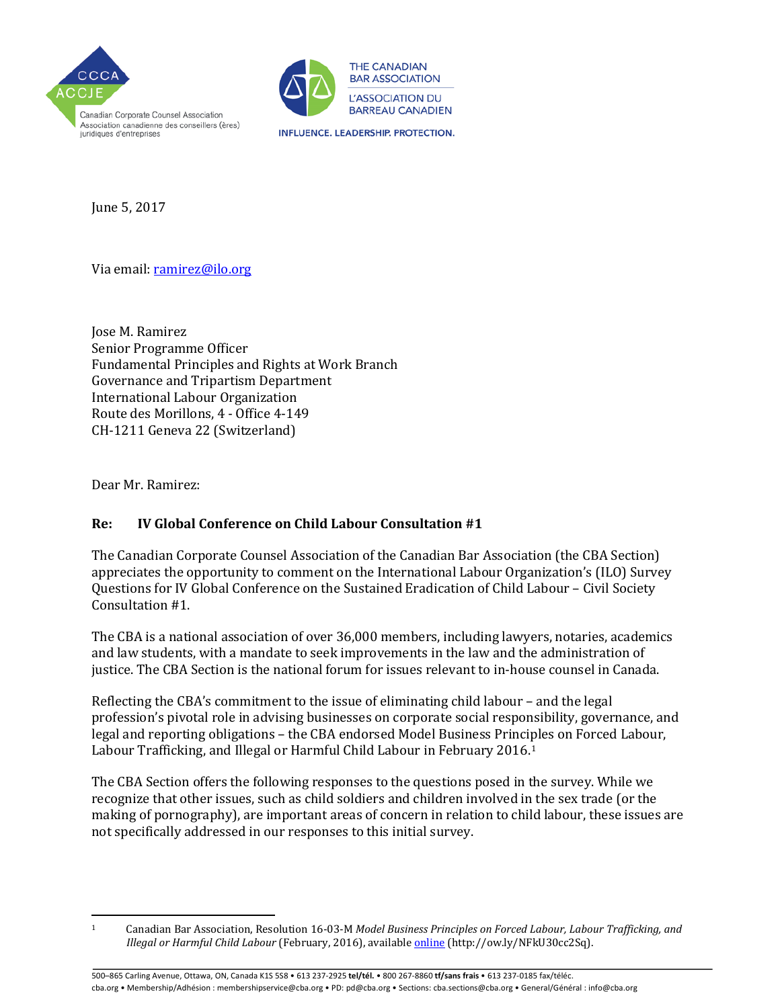



**INFLUENCE. LEADERSHIP. PROTECTION.** 

June 5, 2017

Via email[: ramirez@ilo.org](mailto:ramirez@ilo.org) 

Jose M. Ramirez Senior Programme Officer Fundamental Principles and Rights at Work Branch Governance and Tripartism Department International Labour Organization Route des Morillons, 4 - Office 4-149 CH-1211 Geneva 22 (Switzerland)

Dear Mr. Ramirez:

# **Re: IV Global Conference on Child Labour Consultation #1**

The Canadian Corporate Counsel Association of the Canadian Bar Association (the CBA Section) appreciates the opportunity to comment on the International Labour Organization's (ILO) Survey Questions for IV Global Conference on the Sustained Eradication of Child Labour – Civil Society Consultation #1.

The CBA is a national association of over 36,000 members, including lawyers, notaries, academics and law students, with a mandate to seek improvements in the law and the administration of justice. The CBA Section is the national forum for issues relevant to in-house counsel in Canada.

Reflecting the CBA's commitment to the issue of eliminating child labour – and the legal profession's pivotal role in advising businesses on corporate social responsibility, governance, and legal and reporting obligations – the CBA endorsed Model Business Principles on Forced Labour, Labour Trafficking, and Illegal or Harmful Child Labour in February 2016.[1](#page-0-0)

The CBA Section offers the following responses to the questions posed in the survey. While we recognize that other issues, such as child soldiers and children involved in the sex trade (or the making of pornography), are important areas of concern in relation to child labour, these issues are not specifically addressed in our responses to this initial survey.

500–865 Carling Avenue, Ottawa, ON, Canada K1S 5S8 • 613 237-2925 **tel/tél.** • 800 267-8860 **tf/sans frais** • 613 237-0185 fax/téléc. cba.org • Membership/Adhésion : membershipservice@cba.org • PD: pd@cba.org • Sections: cba.sections@cba.org • General/Général : info@cba.org

<span id="page-0-0"></span>l 1 Canadian Bar Association, Resolution 16-03-M *Model Business Principles on Forced Labour, Labour Trafficking, and Illegal or Harmful Child Labour* (February, 2016), availabl[e online \(](http://www.cba.org/getattachment/Our-Work/Resolutions/Resolutions/2016/Model-Business-Principles-on-Forced-Labour,-Labour/Model-Business-Principles-on-Forced-Labour,-Labour-Trafficking,-and-Illegal-or-Harmful-Child-Labour.pdf)http://ow.ly/NFkU30cc2Sq).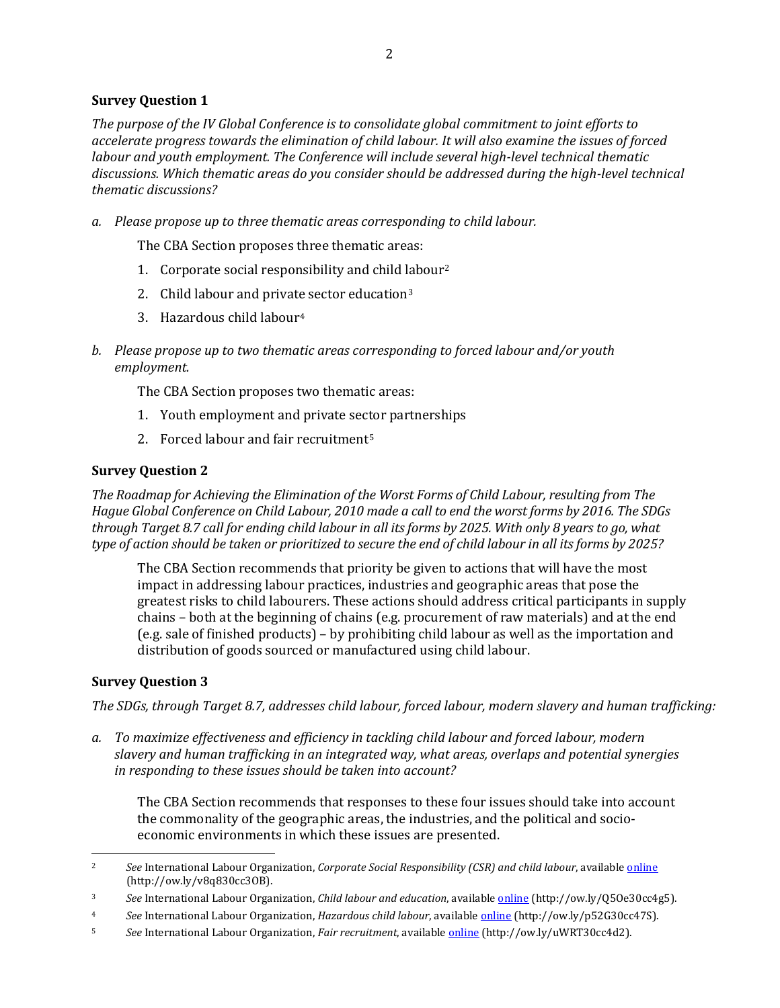## **Survey Question 1**

*The purpose of the IV Global Conference is to consolidate global commitment to joint efforts to accelerate progress towards the elimination of child labour. It will also examine the issues of forced labour and youth employment. The Conference will include several high-level technical thematic discussions. Which thematic areas do you consider should be addressed during the high-level technical thematic discussions?* 

*a. Please propose up to three thematic areas corresponding to child labour.*

The CBA Section proposes three thematic areas:

- 1. Corporate social responsibility and child [la](#page-1-1)bou[r2](#page-1-0)
- 2. Child labour and privat[e](#page-1-2) sector education<sup>3</sup>
- 3. Hazardous child labour4
- *b. Please propose up to two thematic areas corresponding to forced labour and/or youth employment.*

The CBA Section proposes two thematic areas:

- 1. Youth employment and private sector partnerships
- 2. Forced labour and fair recruitment<sup>[5](#page-1-3)</sup>

## **Survey Question 2**

*The Roadmap for Achieving the Elimination of the Worst Forms of Child Labour, resulting from The Hague Global Conference on Child Labour, 2010 made a call to end the worst forms by 2016. The SDGs through Target 8.7 call for ending child labour in all its forms by 2025. With only 8 years to go, what type of action should be taken or prioritized to secure the end of child labour in all its forms by 2025?* 

The CBA Section recommends that priority be given to actions that will have the most impact in addressing labour practices, industries and geographic areas that pose the greatest risks to child labourers. These actions should address critical participants in supply chains – both at the beginning of chains (e.g. procurement of raw materials) and at the end (e.g. sale of finished products) – by prohibiting child labour as well as the importation and distribution of goods sourced or manufactured using child labour.

## **Survey Question 3**

l

*The SDGs, through Target 8.7, addresses child labour, forced labour, modern slavery and human trafficking:* 

*a. To maximize effectiveness and efficiency in tackling child labour and forced labour, modern slavery and human trafficking in an integrated way, what areas, overlaps and potential synergies in responding to these issues should be taken into account?*

The CBA Section recommends that responses to these four issues should take into account the commonality of the geographic areas, the industries, and the political and socioeconomic environments in which these issues are presented.

<span id="page-1-0"></span><sup>2</sup> *See* International Labour Organization, *Corporate Social Responsibility (CSR) and child labour*, availabl[e online](http://www.ilo.org/ipec/Action/CSR/lang--en/index.htm) (http://ow.ly/v8q830cc3OB).

<span id="page-1-1"></span><sup>3</sup> *See* International Labour Organization, *Child labour and education*, availabl[e online](http://www.ilo.org/ipec/Action/Education/lang--en/index.htm) (http://ow.ly/Q5Oe30cc4g5).

<span id="page-1-2"></span><sup>4</sup> *See* International Labour Organization, *Hazardous child labour*, availabl[e online \(](http://www.ilo.org/ipec/facts/WorstFormsofChildLabour/Hazardouschildlabour/lang--en/index.htm)http://ow.ly/p52G30cc47S).

<span id="page-1-3"></span><sup>5</sup> *See* International Labour Organization, *Fair recruitment*, availabl[e online \(](http://www.ilo.org/global/topics/fair-recruitment/lang--en/index.htm)http://ow.ly/uWRT30cc4d2).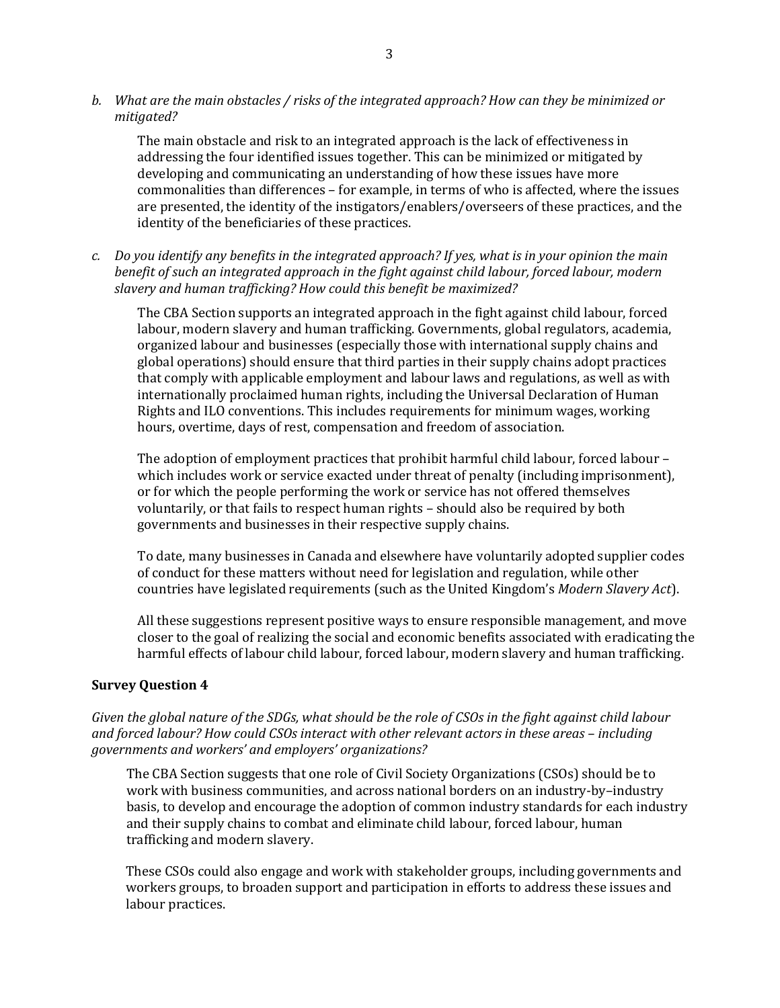*b. What are the main obstacles / risks of the integrated approach? How can they be minimized or mitigated?*

The main obstacle and risk to an integrated approach is the lack of effectiveness in addressing the four identified issues together. This can be minimized or mitigated by developing and communicating an understanding of how these issues have more commonalities than differences – for example, in terms of who is affected, where the issues are presented, the identity of the instigators/enablers/overseers of these practices, and the identity of the beneficiaries of these practices.

*c. Do you identify any benefits in the integrated approach? If yes, what is in your opinion the main benefit of such an integrated approach in the fight against child labour, forced labour, modern slavery and human trafficking? How could this benefit be maximized?*

The CBA Section supports an integrated approach in the fight against child labour, forced labour, modern slavery and human trafficking. Governments, global regulators, academia, organized labour and businesses (especially those with international supply chains and global operations) should ensure that third parties in their supply chains adopt practices that comply with applicable employment and labour laws and regulations, as well as with internationally proclaimed human rights, including the Universal Declaration of Human Rights and ILO conventions. This includes requirements for minimum wages, working hours, overtime, days of rest, compensation and freedom of association.

The adoption of employment practices that prohibit harmful child labour, forced labour – which includes work or service exacted under threat of penalty (including imprisonment), or for which the people performing the work or service has not offered themselves voluntarily, or that fails to respect human rights – should also be required by both governments and businesses in their respective supply chains.

To date, many businesses in Canada and elsewhere have voluntarily adopted supplier codes of conduct for these matters without need for legislation and regulation, while other countries have legislated requirements (such as the United Kingdom's *Modern Slavery Act*).

All these suggestions represent positive ways to ensure responsible management, and move closer to the goal of realizing the social and economic benefits associated with eradicating the harmful effects of labour child labour, forced labour, modern slavery and human trafficking.

### **Survey Question 4**

*Given the global nature of the SDGs, what should be the role of CSOs in the fight against child labour and forced labour? How could CSOs interact with other relevant actors in these areas – including governments and workers' and employers' organizations?* 

The CBA Section suggests that one role of Civil Society Organizations (CSOs) should be to work with business communities, and across national borders on an industry-by–industry basis, to develop and encourage the adoption of common industry standards for each industry and their supply chains to combat and eliminate child labour, forced labour, human trafficking and modern slavery.

These CSOs could also engage and work with stakeholder groups, including governments and workers groups, to broaden support and participation in efforts to address these issues and labour practices.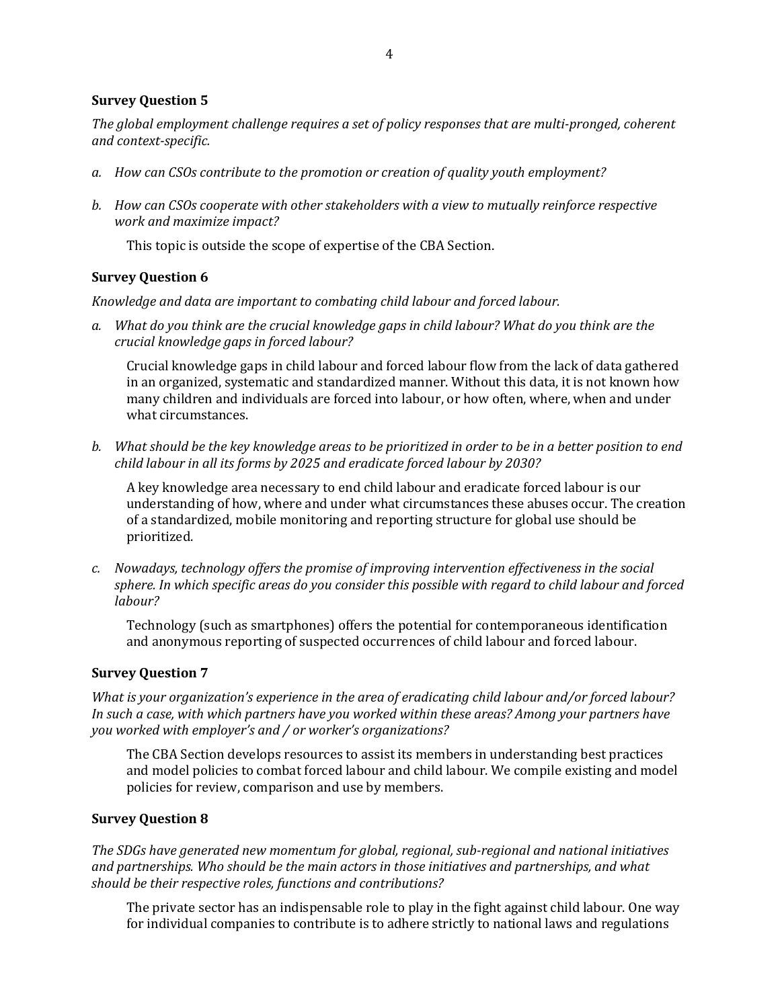#### **Survey Question 5**

*The global employment challenge requires a set of policy responses that are multi-pronged, coherent and context-specific.* 

- *a. How can CSOs contribute to the promotion or creation of quality youth employment?*
- *b. How can CSOs cooperate with other stakeholders with a view to mutually reinforce respective work and maximize impact?*

This topic is outside the scope of expertise of the CBA Section.

#### **Survey Question 6**

*Knowledge and data are important to combating child labour and forced labour.* 

*a. What do you think are the crucial knowledge gaps in child labour? What do you think are the crucial knowledge gaps in forced labour?*

Crucial knowledge gaps in child labour and forced labour flow from the lack of data gathered in an organized, systematic and standardized manner. Without this data, it is not known how many children and individuals are forced into labour, or how often, where, when and under what circumstances.

*b. What should be the key knowledge areas to be prioritized in order to be in a better position to end child labour in all its forms by 2025 and eradicate forced labour by 2030?*

A key knowledge area necessary to end child labour and eradicate forced labour is our understanding of how, where and under what circumstances these abuses occur. The creation of a standardized, mobile monitoring and reporting structure for global use should be prioritized.

*c. Nowadays, technology offers the promise of improving intervention effectiveness in the social sphere. In which specific areas do you consider this possible with regard to child labour and forced labour?*

Technology (such as smartphones) offers the potential for contemporaneous identification and anonymous reporting of suspected occurrences of child labour and forced labour.

## **Survey Question 7**

*What is your organization's experience in the area of eradicating child labour and/or forced labour? In such a case, with which partners have you worked within these areas? Among your partners have you worked with employer's and / or worker's organizations?* 

The CBA Section develops resources to assist its members in understanding best practices and model policies to combat forced labour and child labour. We compile existing and model policies for review, comparison and use by members.

#### **Survey Question 8**

*The SDGs have generated new momentum for global, regional, sub-regional and national initiatives and partnerships. Who should be the main actors in those initiatives and partnerships, and what should be their respective roles, functions and contributions?* 

The private sector has an indispensable role to play in the fight against child labour. One way for individual companies to contribute is to adhere strictly to national laws and regulations